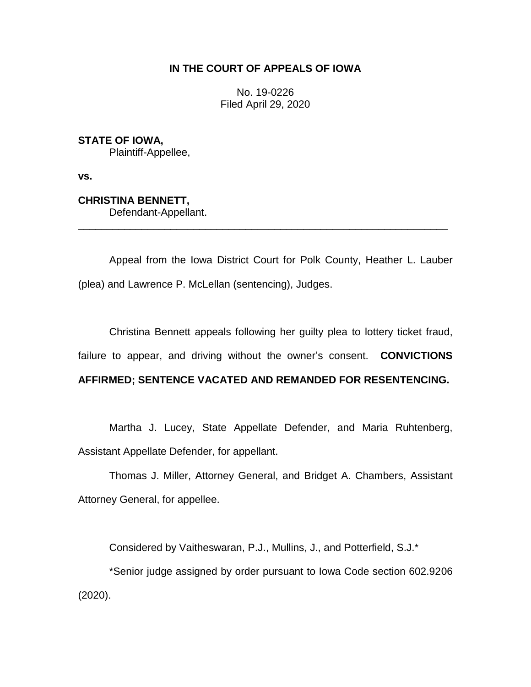## **IN THE COURT OF APPEALS OF IOWA**

No. 19-0226 Filed April 29, 2020

**STATE OF IOWA,** Plaintiff-Appellee,

**vs.**

**CHRISTINA BENNETT,** Defendant-Appellant.

Appeal from the Iowa District Court for Polk County, Heather L. Lauber (plea) and Lawrence P. McLellan (sentencing), Judges.

\_\_\_\_\_\_\_\_\_\_\_\_\_\_\_\_\_\_\_\_\_\_\_\_\_\_\_\_\_\_\_\_\_\_\_\_\_\_\_\_\_\_\_\_\_\_\_\_\_\_\_\_\_\_\_\_\_\_\_\_\_\_\_\_

Christina Bennett appeals following her guilty plea to lottery ticket fraud, failure to appear, and driving without the owner's consent. **CONVICTIONS**

# **AFFIRMED; SENTENCE VACATED AND REMANDED FOR RESENTENCING.**

Martha J. Lucey, State Appellate Defender, and Maria Ruhtenberg, Assistant Appellate Defender, for appellant.

Thomas J. Miller, Attorney General, and Bridget A. Chambers, Assistant Attorney General, for appellee.

Considered by Vaitheswaran, P.J., Mullins, J., and Potterfield, S.J.\*

\*Senior judge assigned by order pursuant to Iowa Code section 602.9206 (2020).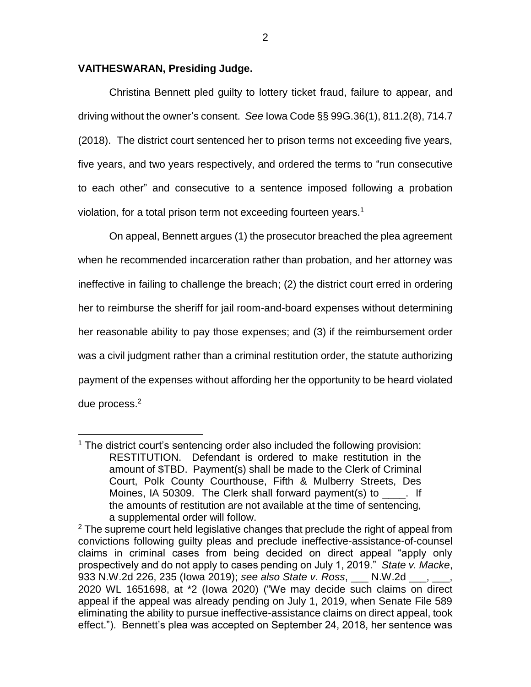### **VAITHESWARAN, Presiding Judge.**

 $\overline{a}$ 

Christina Bennett pled guilty to lottery ticket fraud, failure to appear, and driving without the owner's consent. *See* Iowa Code §§ 99G.36(1), 811.2(8), 714.7 (2018). The district court sentenced her to prison terms not exceeding five years, five years, and two years respectively, and ordered the terms to "run consecutive to each other" and consecutive to a sentence imposed following a probation violation, for a total prison term not exceeding fourteen years.<sup>1</sup>

On appeal, Bennett argues (1) the prosecutor breached the plea agreement when he recommended incarceration rather than probation, and her attorney was ineffective in failing to challenge the breach; (2) the district court erred in ordering her to reimburse the sheriff for jail room-and-board expenses without determining her reasonable ability to pay those expenses; and (3) if the reimbursement order was a civil judgment rather than a criminal restitution order, the statute authorizing payment of the expenses without affording her the opportunity to be heard violated due process.<sup>2</sup>

<sup>&</sup>lt;sup>1</sup> The district court's sentencing order also included the following provision: RESTITUTION. Defendant is ordered to make restitution in the amount of \$TBD. Payment(s) shall be made to the Clerk of Criminal Court, Polk County Courthouse, Fifth & Mulberry Streets, Des Moines, IA 50309. The Clerk shall forward payment(s) to  $\qquad \qquad$ . If the amounts of restitution are not available at the time of sentencing, a supplemental order will follow.

 $2$  The supreme court held legislative changes that preclude the right of appeal from convictions following guilty pleas and preclude ineffective-assistance-of-counsel claims in criminal cases from being decided on direct appeal "apply only prospectively and do not apply to cases pending on July 1, 2019." *State v. Macke*, 933 N.W.2d 226, 235 (Iowa 2019); *see also State v. Ross*, \_\_\_ N.W.2d \_\_\_, \_\_\_, 2020 WL 1651698, at \*2 (Iowa 2020) ("We may decide such claims on direct appeal if the appeal was already pending on July 1, 2019, when Senate File 589 eliminating the ability to pursue ineffective-assistance claims on direct appeal, took effect."). Bennett's plea was accepted on September 24, 2018, her sentence was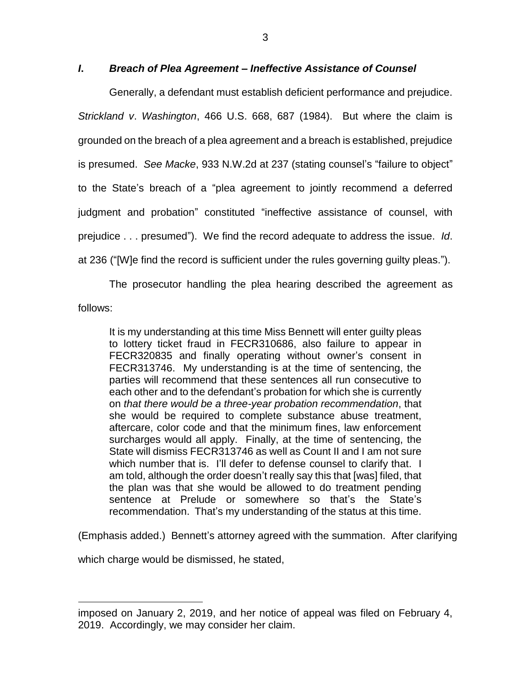### *I***.** *Breach of Plea Agreement – Ineffective Assistance of Counsel*

Generally, a defendant must establish deficient performance and prejudice. *Strickland v*. *Washington*, 466 U.S. 668, 687 (1984). But where the claim is grounded on the breach of a plea agreement and a breach is established, prejudice is presumed. *See Macke*, 933 N.W.2d at 237 (stating counsel's "failure to object" to the State's breach of a "plea agreement to jointly recommend a deferred judgment and probation" constituted "ineffective assistance of counsel, with prejudice . . . presumed"). We find the record adequate to address the issue. *Id*. at 236 ("[W]e find the record is sufficient under the rules governing guilty pleas.").

The prosecutor handling the plea hearing described the agreement as follows:

It is my understanding at this time Miss Bennett will enter guilty pleas to lottery ticket fraud in FECR310686, also failure to appear in FECR320835 and finally operating without owner's consent in FECR313746. My understanding is at the time of sentencing, the parties will recommend that these sentences all run consecutive to each other and to the defendant's probation for which she is currently on *that there would be a three-year probation recommendation*, that she would be required to complete substance abuse treatment, aftercare, color code and that the minimum fines, law enforcement surcharges would all apply. Finally, at the time of sentencing, the State will dismiss FECR313746 as well as Count II and I am not sure which number that is. I'll defer to defense counsel to clarify that. I am told, although the order doesn't really say this that [was] filed, that the plan was that she would be allowed to do treatment pending sentence at Prelude or somewhere so that's the State's recommendation. That's my understanding of the status at this time.

(Emphasis added.) Bennett's attorney agreed with the summation. After clarifying

which charge would be dismissed, he stated,

 $\overline{a}$ 

imposed on January 2, 2019, and her notice of appeal was filed on February 4, 2019. Accordingly, we may consider her claim.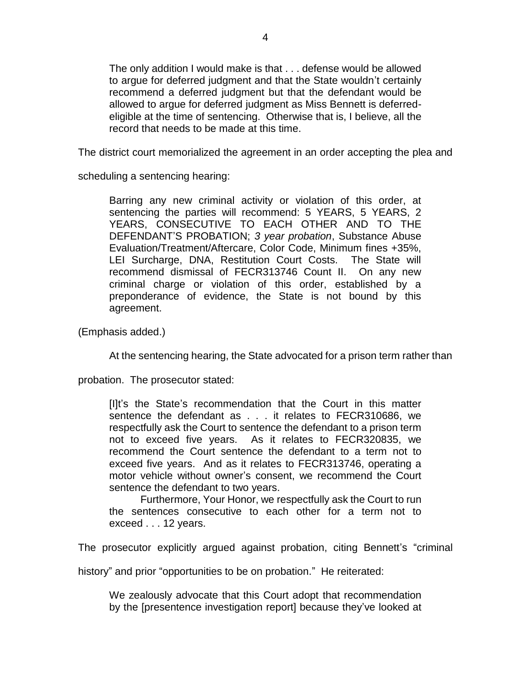The only addition I would make is that . . . defense would be allowed to argue for deferred judgment and that the State wouldn't certainly recommend a deferred judgment but that the defendant would be allowed to argue for deferred judgment as Miss Bennett is deferredeligible at the time of sentencing. Otherwise that is, I believe, all the record that needs to be made at this time.

The district court memorialized the agreement in an order accepting the plea and

scheduling a sentencing hearing:

Barring any new criminal activity or violation of this order, at sentencing the parties will recommend: 5 YEARS, 5 YEARS, 2 YEARS, CONSECUTIVE TO EACH OTHER AND TO THE DEFENDANT'S PROBATION; *3 year probation*, Substance Abuse Evaluation/Treatment/Aftercare, Color Code, Minimum fines +35%, LEI Surcharge, DNA, Restitution Court Costs. The State will recommend dismissal of FECR313746 Count II. On any new criminal charge or violation of this order, established by a preponderance of evidence, the State is not bound by this agreement.

(Emphasis added.)

At the sentencing hearing, the State advocated for a prison term rather than

probation. The prosecutor stated:

[I]t's the State's recommendation that the Court in this matter sentence the defendant as . . . it relates to FECR310686, we respectfully ask the Court to sentence the defendant to a prison term not to exceed five years. As it relates to FECR320835, we recommend the Court sentence the defendant to a term not to exceed five years. And as it relates to FECR313746, operating a motor vehicle without owner's consent, we recommend the Court sentence the defendant to two years.

Furthermore, Your Honor, we respectfully ask the Court to run the sentences consecutive to each other for a term not to exceed . . . 12 years.

The prosecutor explicitly argued against probation, citing Bennett's "criminal

history" and prior "opportunities to be on probation." He reiterated:

We zealously advocate that this Court adopt that recommendation by the [presentence investigation report] because they've looked at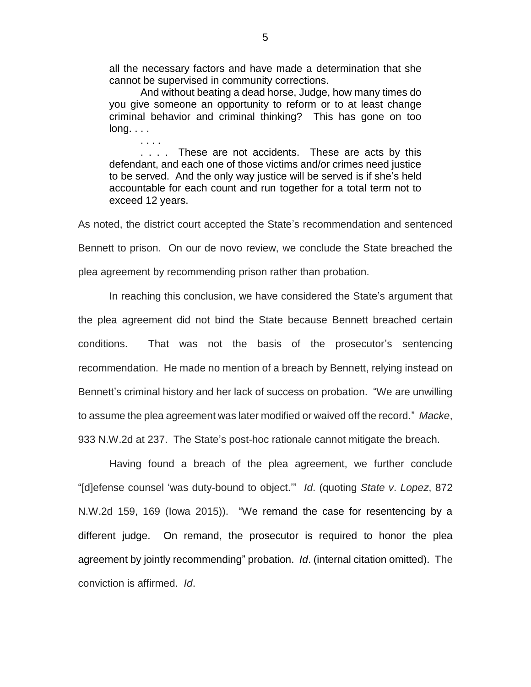all the necessary factors and have made a determination that she cannot be supervised in community corrections.

And without beating a dead horse, Judge, how many times do you give someone an opportunity to reform or to at least change criminal behavior and criminal thinking? This has gone on too long. . . .

. . . .

. . . . These are not accidents. These are acts by this defendant, and each one of those victims and/or crimes need justice to be served. And the only way justice will be served is if she's held accountable for each count and run together for a total term not to exceed 12 years.

As noted, the district court accepted the State's recommendation and sentenced Bennett to prison. On our de novo review, we conclude the State breached the plea agreement by recommending prison rather than probation.

In reaching this conclusion, we have considered the State's argument that the plea agreement did not bind the State because Bennett breached certain conditions. That was not the basis of the prosecutor's sentencing recommendation. He made no mention of a breach by Bennett, relying instead on Bennett's criminal history and her lack of success on probation. "We are unwilling to assume the plea agreement was later modified or waived off the record." *Macke*, 933 N.W.2d at 237. The State's post-hoc rationale cannot mitigate the breach.

Having found a breach of the plea agreement, we further conclude "[d]efense counsel 'was duty-bound to object.'" *Id*. (quoting *State v*. *Lopez*, 872 N.W.2d 159, 169 (Iowa 2015)). "We remand the case for resentencing by a different judge. On remand, the prosecutor is required to honor the plea agreement by jointly recommending" probation. *Id*. (internal citation omitted). The conviction is affirmed. *Id*.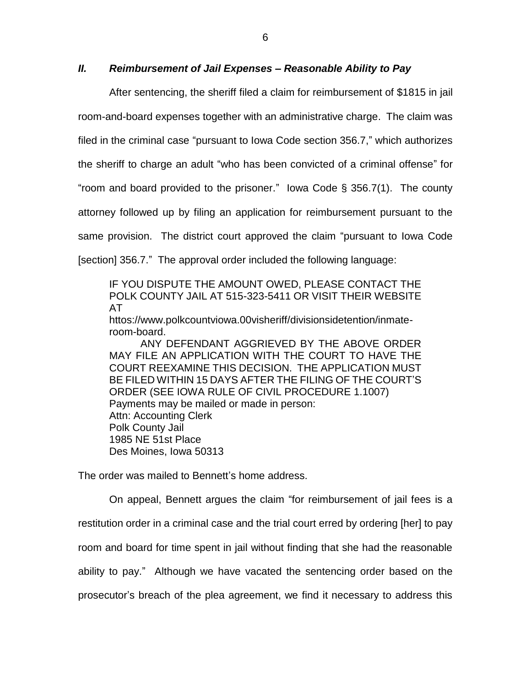### *II. Reimbursement of Jail Expenses – Reasonable Ability to Pay*

After sentencing, the sheriff filed a claim for reimbursement of \$1815 in jail room-and-board expenses together with an administrative charge. The claim was filed in the criminal case "pursuant to Iowa Code section 356.7," which authorizes the sheriff to charge an adult "who has been convicted of a criminal offense" for "room and board provided to the prisoner." Iowa Code § 356.7(1). The county attorney followed up by filing an application for reimbursement pursuant to the same provision. The district court approved the claim "pursuant to Iowa Code [section] 356.7." The approval order included the following language:

IF YOU DISPUTE THE AMOUNT OWED, PLEASE CONTACT THE POLK COUNTY JAIL AT 515-323-5411 OR VISIT THEIR WEBSITE AT

httos://www.polkcountviowa.00visheriff/divisionsidetention/inmateroom-board.

ANY DEFENDANT AGGRIEVED BY THE ABOVE ORDER MAY FILE AN APPLICATION WITH THE COURT TO HAVE THE COURT REEXAMINE THIS DECISION. THE APPLICATION MUST BE FILED WITHIN 15 DAYS AFTER THE FILING OF THE COURT'S ORDER (SEE IOWA RULE OF CIVIL PROCEDURE 1.1007) Payments may be mailed or made in person: Attn: Accounting Clerk Polk County Jail 1985 NE 51st Place Des Moines, Iowa 50313

The order was mailed to Bennett's home address.

On appeal, Bennett argues the claim "for reimbursement of jail fees is a restitution order in a criminal case and the trial court erred by ordering [her] to pay room and board for time spent in jail without finding that she had the reasonable ability to pay." Although we have vacated the sentencing order based on the prosecutor's breach of the plea agreement, we find it necessary to address this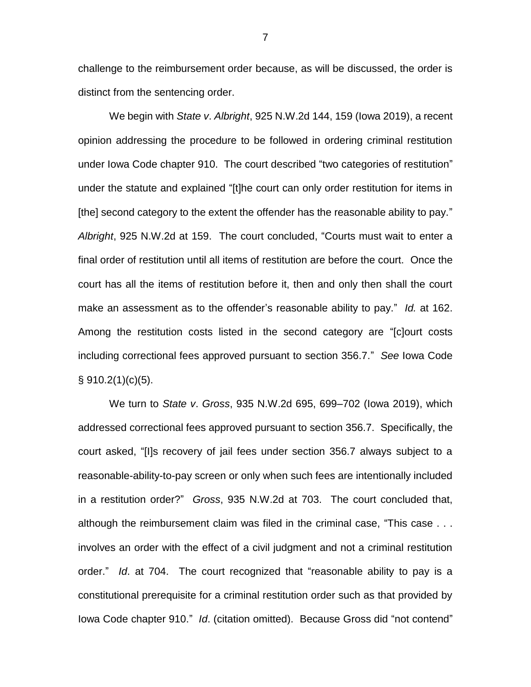challenge to the reimbursement order because, as will be discussed, the order is distinct from the sentencing order.

We begin with *State v*. *Albright*, 925 N.W.2d 144, 159 (Iowa 2019), a recent opinion addressing the procedure to be followed in ordering criminal restitution under Iowa Code chapter 910. The court described "two categories of restitution" under the statute and explained "[t]he court can only order restitution for items in [the] second category to the extent the offender has the reasonable ability to pay." *Albright*, 925 N.W.2d at 159. The court concluded, "Courts must wait to enter a final order of restitution until all items of restitution are before the court. Once the court has all the items of restitution before it, then and only then shall the court make an assessment as to the offender's reasonable ability to pay." *Id.* at 162. Among the restitution costs listed in the second category are "[c]ourt costs including correctional fees approved pursuant to section 356.7." *See* Iowa Code  $§ 910.2(1)(c)(5)$ .

We turn to *State v*. *Gross*, 935 N.W.2d 695, 699–702 (Iowa 2019), which addressed correctional fees approved pursuant to section 356.7. Specifically, the court asked, "[I]s recovery of jail fees under section 356.7 always subject to a reasonable-ability-to-pay screen or only when such fees are intentionally included in a restitution order?" *Gross*, 935 N.W.2d at 703. The court concluded that, although the reimbursement claim was filed in the criminal case, "This case . . . involves an order with the effect of a civil judgment and not a criminal restitution order." *Id*. at 704. The court recognized that "reasonable ability to pay is a constitutional prerequisite for a criminal restitution order such as that provided by Iowa Code chapter 910." *Id*. (citation omitted). Because Gross did "not contend"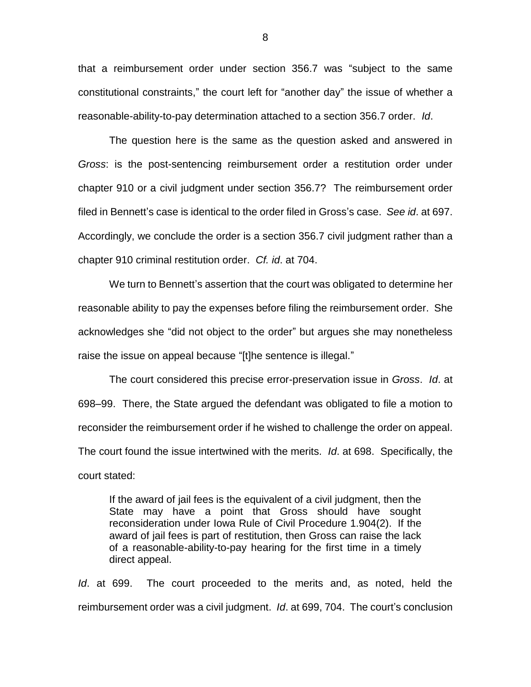that a reimbursement order under section 356.7 was "subject to the same constitutional constraints," the court left for "another day" the issue of whether a reasonable-ability-to-pay determination attached to a section 356.7 order. *Id*.

The question here is the same as the question asked and answered in *Gross*: is the post-sentencing reimbursement order a restitution order under chapter 910 or a civil judgment under section 356.7? The reimbursement order filed in Bennett's case is identical to the order filed in Gross's case. *See id*. at 697. Accordingly, we conclude the order is a section 356.7 civil judgment rather than a chapter 910 criminal restitution order. *Cf. id*. at 704.

We turn to Bennett's assertion that the court was obligated to determine her reasonable ability to pay the expenses before filing the reimbursement order. She acknowledges she "did not object to the order" but argues she may nonetheless raise the issue on appeal because "[t]he sentence is illegal."

The court considered this precise error-preservation issue in *Gross*. *Id*. at 698–99. There, the State argued the defendant was obligated to file a motion to reconsider the reimbursement order if he wished to challenge the order on appeal. The court found the issue intertwined with the merits. *Id*. at 698. Specifically, the court stated:

If the award of jail fees is the equivalent of a civil judgment, then the State may have a point that Gross should have sought reconsideration under Iowa Rule of Civil Procedure 1.904(2). If the award of jail fees is part of restitution, then Gross can raise the lack of a reasonable-ability-to-pay hearing for the first time in a timely direct appeal.

*Id*. at 699. The court proceeded to the merits and, as noted, held the reimbursement order was a civil judgment. *Id*. at 699, 704. The court's conclusion